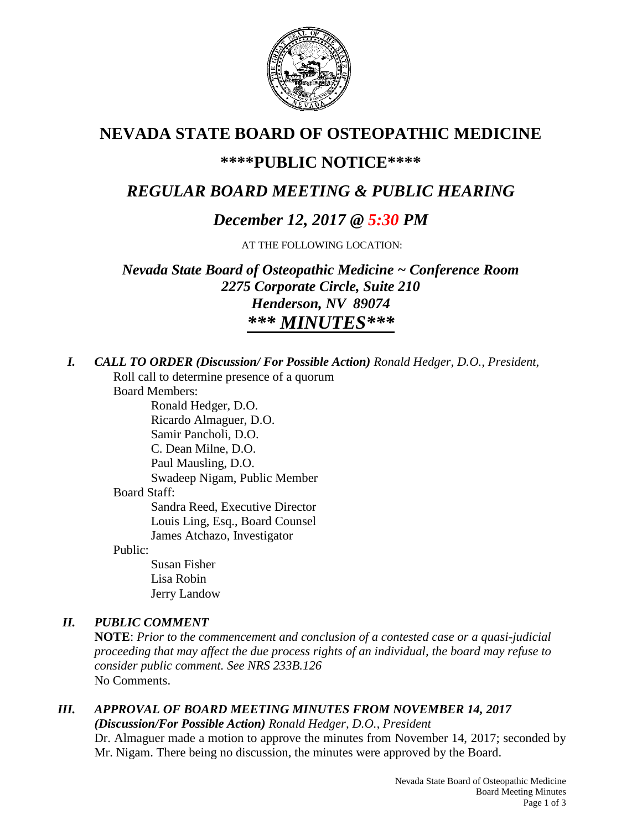

# **NEVADA STATE BOARD OF OSTEOPATHIC MEDICINE**

# **\*\*\*\*PUBLIC NOTICE\*\*\*\***

# *REGULAR BOARD MEETING & PUBLIC HEARING*

# *December 12, 2017 @ 5:30 PM*

AT THE FOLLOWING LOCATION:

*Nevada State Board of Osteopathic Medicine ~ Conference Room 2275 Corporate Circle, Suite 210 Henderson, NV 89074 \*\*\* MINUTES\*\*\**

*I. CALL TO ORDER (Discussion/ For Possible Action) Ronald Hedger, D.O., President,* Roll call to determine presence of a quorum

Board Members:

Ronald Hedger, D.O. Ricardo Almaguer, D.O. Samir Pancholi, D.O. C. Dean Milne, D.O. Paul Mausling, D.O. Swadeep Nigam, Public Member Board Staff: Sandra Reed, Executive Director Louis Ling, Esq., Board Counsel James Atchazo, Investigator

Public:

Susan Fisher Lisa Robin Jerry Landow

# *II. PUBLIC COMMENT*

**NOTE**: *Prior to the commencement and conclusion of a contested case or a quasi-judicial proceeding that may affect the due process rights of an individual, the board may refuse to consider public comment. See NRS 233B.126* No Comments.

# *III. APPROVAL OF BOARD MEETING MINUTES FROM NOVEMBER 14, 2017*

*(Discussion/For Possible Action) Ronald Hedger, D.O., President* Dr. Almaguer made a motion to approve the minutes from November 14, 2017; seconded by Mr. Nigam. There being no discussion, the minutes were approved by the Board.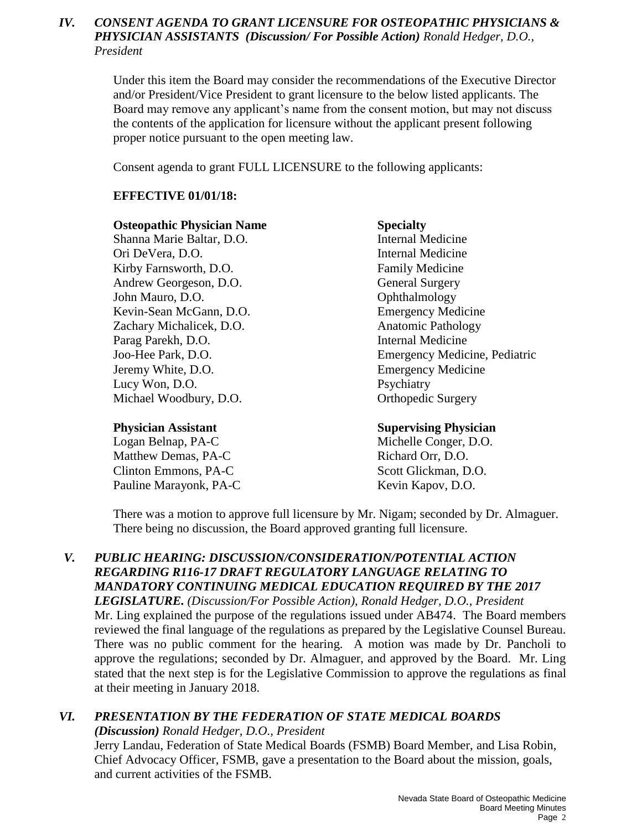## *IV. CONSENT AGENDA TO GRANT LICENSURE FOR OSTEOPATHIC PHYSICIANS & PHYSICIAN ASSISTANTS (Discussion/ For Possible Action) Ronald Hedger, D.O., President*

Under this item the Board may consider the recommendations of the Executive Director and/or President/Vice President to grant licensure to the below listed applicants. The Board may remove any applicant's name from the consent motion, but may not discuss the contents of the application for licensure without the applicant present following proper notice pursuant to the open meeting law.

Consent agenda to grant FULL LICENSURE to the following applicants:

### **EFFECTIVE 01/01/18:**

### **Osteopathic Physician Name Specialty**

Shanna Marie Baltar, D.O. Internal Medicine Ori DeVera, D.O. Internal Medicine Kirby Farnsworth, D.O. Family Medicine Andrew Georgeson, D.O. General Surgery John Mauro, D.O. **Ophthalmology** Kevin-Sean McGann, D.O. Emergency Medicine Zachary Michalicek, D.O. Anatomic Pathology Parag Parekh, D.O. **Internal Medicine** Jeremy White, D.O. Emergency Medicine Lucy Won, D.O. Psychiatry Michael Woodbury, D.O. **Orthopedic Surgery** 

Logan Belnap, PA-C Michelle Conger, D.O. Matthew Demas, PA-C Richard Orr, D.O. Clinton Emmons, PA-C Scott Glickman, D.O. Pauline Marayonk, PA-C Kevin Kapov, D.O.

Joo-Hee Park, D.O. Emergency Medicine, Pediatric

### **Physician Assistant Supervising Physician**

There was a motion to approve full licensure by Mr. Nigam; seconded by Dr. Almaguer. There being no discussion, the Board approved granting full licensure.

# *V. PUBLIC HEARING: DISCUSSION/CONSIDERATION/POTENTIAL ACTION REGARDING R116-17 DRAFT REGULATORY LANGUAGE RELATING TO MANDATORY CONTINUING MEDICAL EDUCATION REQUIRED BY THE 2017*

*LEGISLATURE. (Discussion/For Possible Action), Ronald Hedger, D.O., President* Mr. Ling explained the purpose of the regulations issued under AB474. The Board members reviewed the final language of the regulations as prepared by the Legislative Counsel Bureau. There was no public comment for the hearing. A motion was made by Dr. Pancholi to approve the regulations; seconded by Dr. Almaguer, and approved by the Board. Mr. Ling stated that the next step is for the Legislative Commission to approve the regulations as final at their meeting in January 2018.

### *VI. PRESENTATION BY THE FEDERATION OF STATE MEDICAL BOARDS (Discussion) Ronald Hedger, D.O., President*

Jerry Landau, Federation of State Medical Boards (FSMB) Board Member, and Lisa Robin, Chief Advocacy Officer, FSMB, gave a presentation to the Board about the mission, goals, and current activities of the FSMB.